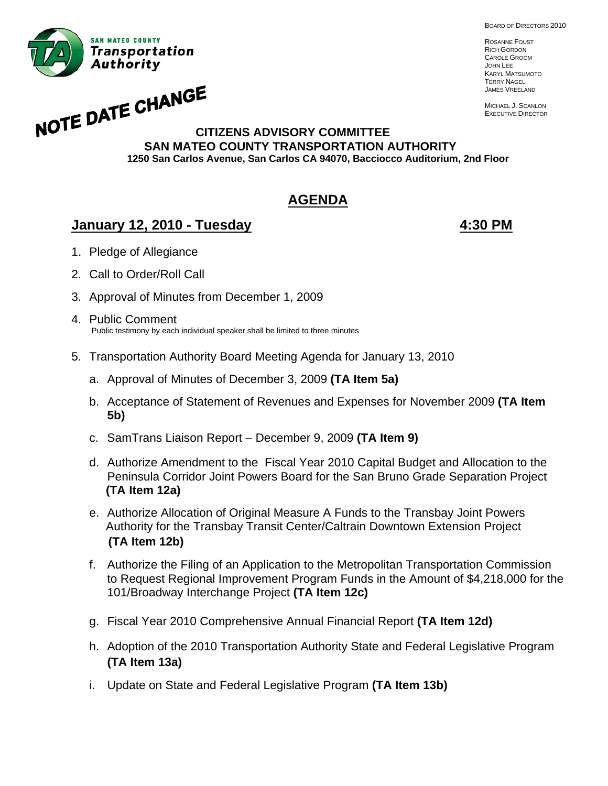BOARD OF DIRECTORS 2010



ROSANNE FOUST RICH GORDON CAROLE GROOM JOHN LEE KARYL MATSUMOTO TERRY NAGEL JAMES VREELAND

MICHAEL J. SCANLON EXECUTIVE DIRECTOR

# **NOTE DATE CHANGE CITIZENS ADVISORY COMMITTEE SAN MATEO COUNTY TRANSPORTATION AUTHORITY 1250 San Carlos Avenue, San Carlos CA 94070, Bacciocco Auditorium, 2nd Floor**

# **AGENDA**

# **January 12, 2010 - Tuesday 4:30 PM**

- 1. Pledge of Allegiance
- 2. Call to Order/Roll Call
- 3. Approval of Minutes from December 1, 2009
- 4. Public Comment Public testimony by each individual speaker shall be limited to three minutes
- 5. Transportation Authority Board Meeting Agenda for January 13, 2010
	- a. Approval of Minutes of December 3, 2009 **(TA Item 5a)**
	- b. Acceptance of Statement of Revenues and Expenses for November 2009 **(TA Item 5b)**
	- c. SamTrans Liaison Report December 9, 2009 **(TA Item 9)**
	- d. Authorize Amendment to the Fiscal Year 2010 Capital Budget and Allocation to the Peninsula Corridor Joint Powers Board for the San Bruno Grade Separation Project **(TA Item 12a)**
	- e. Authorize Allocation of Original Measure A Funds to the Transbay Joint Powers Authority for the Transbay Transit Center/Caltrain Downtown Extension Project **(TA Item 12b)**
	- f. Authorize the Filing of an Application to the Metropolitan Transportation Commission to Request Regional Improvement Program Funds in the Amount of \$4,218,000 for the 101/Broadway Interchange Project **(TA Item 12c)**
	- g. Fiscal Year 2010 Comprehensive Annual Financial Report **(TA Item 12d)**
	- h. Adoption of the 2010 Transportation Authority State and Federal Legislative Program **(TA Item 13a)**
	- i. Update on State and Federal Legislative Program **(TA Item 13b)**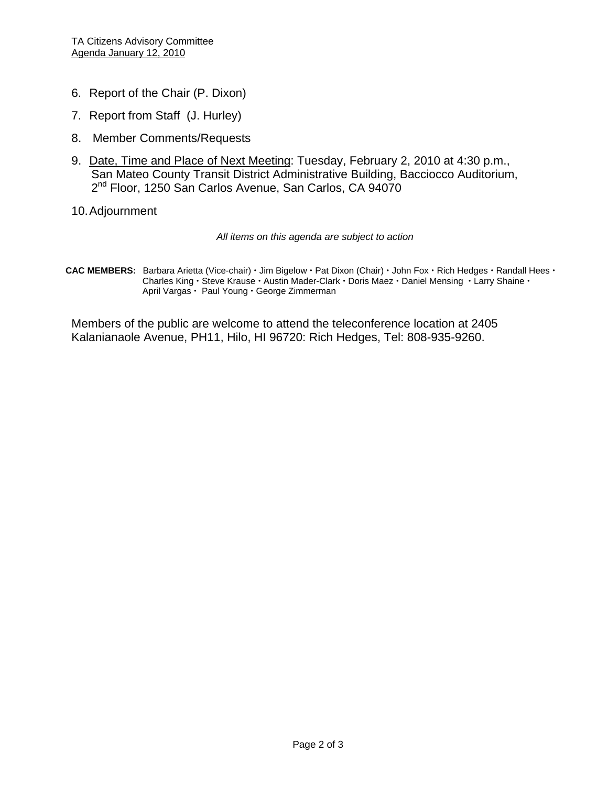- 6. Report of the Chair (P. Dixon)
- 7. Report from Staff (J. Hurley)
- 8. Member Comments/Requests
- 9. Date, Time and Place of Next Meeting: Tuesday, February 2, 2010 at 4:30 p.m., San Mateo County Transit District Administrative Building, Bacciocco Auditorium, 2<sup>nd</sup> Floor, 1250 San Carlos Avenue, San Carlos, CA 94070
- 10. Adjournment

*All items on this agenda are subject to action* 

CAC MEMBERS: Barbara Arietta (Vice-chair) · Jim Bigelow · Pat Dixon (Chair) · John Fox · Rich Hedges · Randall Hees · Charles King · Steve Krause · Austin Mader-Clark · Doris Maez · Daniel Mensing · Larry Shaine · April Vargas · Paul Young · George Zimmerman

Members of the public are welcome to attend the teleconference location at 2405 Kalanianaole Avenue, PH11, Hilo, HI 96720: Rich Hedges, Tel: 808-935-9260.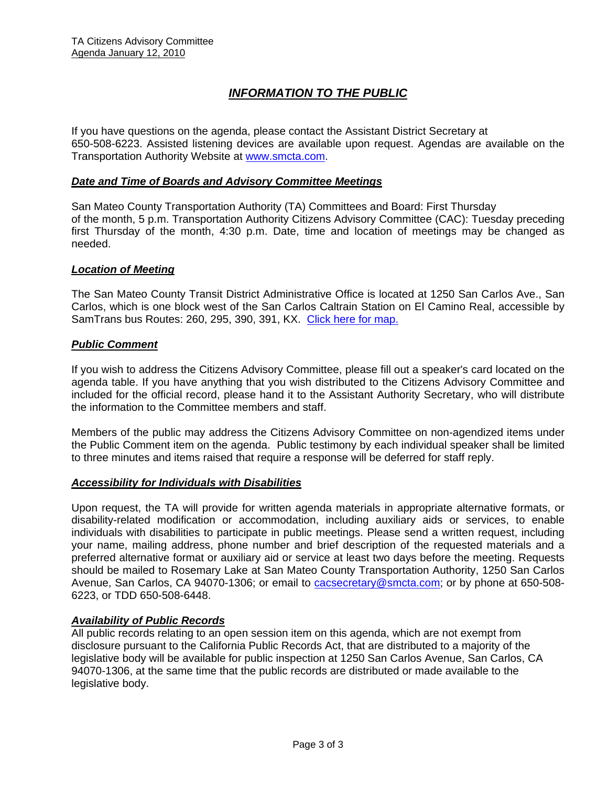# *INFORMATION TO THE PUBLIC*

If you have questions on the agenda, please contact the Assistant District Secretary at 650-508-6223. Assisted listening devices are available upon request. Agendas are available on the Transportation Authority Website at [www.smcta.com.](http://www.smcta.com/)

#### *Date and Time of Boards and Advisory Committee Meetings*

San Mateo County Transportation Authority (TA) Committees and Board: First Thursday of the month, 5 p.m. Transportation Authority Citizens Advisory Committee (CAC): Tuesday preceding first Thursday of the month, 4:30 p.m. Date, time and location of meetings may be changed as needed.

#### *Location of Meeting*

The San Mateo County Transit District Administrative Office is located at 1250 San Carlos Ave., San Carlos, which is one block west of the San Carlos Caltrain Station on El Camino Real, accessible by SamTrans bus Routes: 260, 295, 390, 391, KX. [Click here for map.](http://maps.google.com/maps?f=q&hl=en&geocode=&q=1250+San+Carlos+Ave,+San+Carlos,+CA+94070&sll=37.0625,-95.677068&sspn=33.077336,56.25&ie=UTF8&ll=37.507394,-122.261996&spn=0.008085,0.013733&z=16)

#### *Public Comment*

If you wish to address the Citizens Advisory Committee, please fill out a speaker's card located on the agenda table. If you have anything that you wish distributed to the Citizens Advisory Committee and included for the official record, please hand it to the Assistant Authority Secretary, who will distribute the information to the Committee members and staff.

Members of the public may address the Citizens Advisory Committee on non-agendized items under the Public Comment item on the agenda. Public testimony by each individual speaker shall be limited to three minutes and items raised that require a response will be deferred for staff reply.

#### *Accessibility for Individuals with Disabilities*

Upon request, the TA will provide for written agenda materials in appropriate alternative formats, or disability-related modification or accommodation, including auxiliary aids or services, to enable individuals with disabilities to participate in public meetings. Please send a written request, including your name, mailing address, phone number and brief description of the requested materials and a preferred alternative format or auxiliary aid or service at least two days before the meeting. Requests should be mailed to Rosemary Lake at San Mateo County Transportation Authority, 1250 San Carlos Avenue, San Carlos, CA 94070-1306; or email to **[cacsecretary@smcta.com](mailto:cacsecretary@smcta.com)**; or by phone at 650-508-6223, or TDD 650-508-6448.

#### *Availability of Public Records*

All public records relating to an open session item on this agenda, which are not exempt from disclosure pursuant to the California Public Records Act, that are distributed to a majority of the legislative body will be available for public inspection at 1250 San Carlos Avenue, San Carlos, CA 94070-1306, at the same time that the public records are distributed or made available to the legislative body.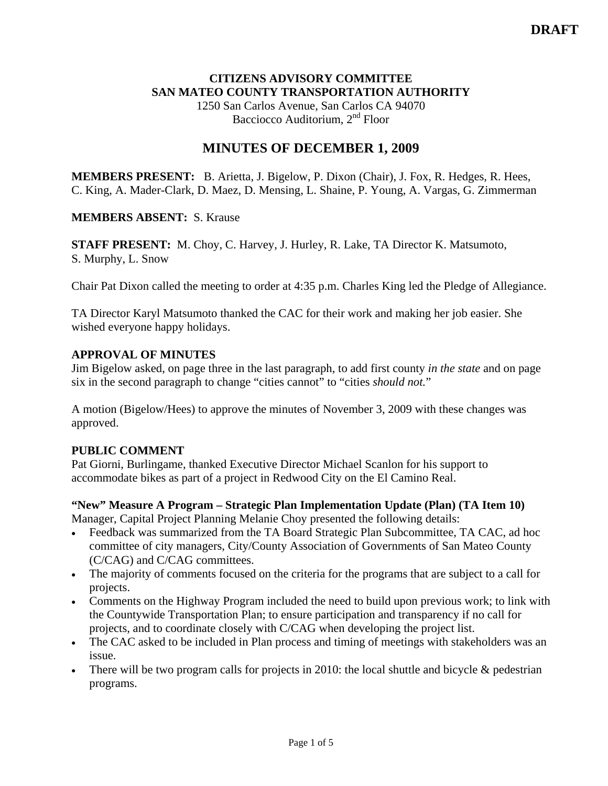#### **CITIZENS ADVISORY COMMITTEE SAN MATEO COUNTY TRANSPORTATION AUTHORITY**

1250 San Carlos Avenue, San Carlos CA 94070 Bacciocco Auditorium, 2<sup>nd</sup> Floor

# **MINUTES OF DECEMBER 1, 2009**

**MEMBERS PRESENT:** B. Arietta, J. Bigelow, P. Dixon (Chair), J. Fox, R. Hedges, R. Hees, C. King, A. Mader-Clark, D. Maez, D. Mensing, L. Shaine, P. Young, A. Vargas, G. Zimmerman

### **MEMBERS ABSENT:** S. Krause

**STAFF PRESENT:** M. Choy, C. Harvey, J. Hurley, R. Lake, TA Director K. Matsumoto, S. Murphy, L. Snow

Chair Pat Dixon called the meeting to order at 4:35 p.m. Charles King led the Pledge of Allegiance.

TA Director Karyl Matsumoto thanked the CAC for their work and making her job easier. She wished everyone happy holidays.

#### **APPROVAL OF MINUTES**

Jim Bigelow asked, on page three in the last paragraph, to add first county *in the state* and on page six in the second paragraph to change "cities cannot" to "cities *should not.*"

A motion (Bigelow/Hees) to approve the minutes of November 3, 2009 with these changes was approved.

#### **PUBLIC COMMENT**

Pat Giorni, Burlingame, thanked Executive Director Michael Scanlon for his support to accommodate bikes as part of a project in Redwood City on the El Camino Real.

#### **"New" Measure A Program – Strategic Plan Implementation Update (Plan) (TA Item 10)**  Manager, Capital Project Planning Melanie Choy presented the following details:

- Feedback was summarized from the TA Board Strategic Plan Subcommittee, TA CAC, ad hoc committee of city managers, City/County Association of Governments of San Mateo County (C/CAG) and C/CAG committees.
- The majority of comments focused on the criteria for the programs that are subject to a call for projects.
- Comments on the Highway Program included the need to build upon previous work; to link with the Countywide Transportation Plan; to ensure participation and transparency if no call for projects, and to coordinate closely with C/CAG when developing the project list.
- The CAC asked to be included in Plan process and timing of meetings with stakeholders was an issue.
- There will be two program calls for projects in 2010: the local shuttle and bicycle & pedestrian programs.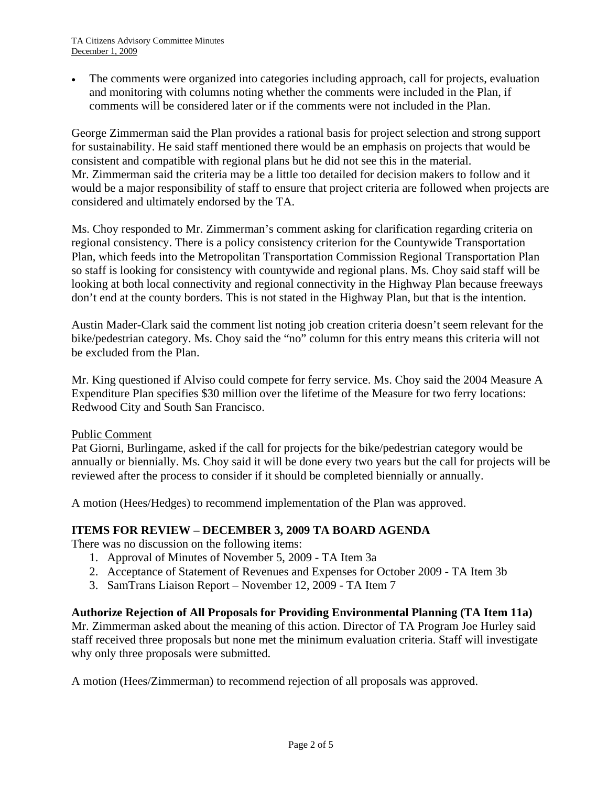The comments were organized into categories including approach, call for projects, evaluation and monitoring with columns noting whether the comments were included in the Plan, if comments will be considered later or if the comments were not included in the Plan.

George Zimmerman said the Plan provides a rational basis for project selection and strong support for sustainability. He said staff mentioned there would be an emphasis on projects that would be consistent and compatible with regional plans but he did not see this in the material. Mr. Zimmerman said the criteria may be a little too detailed for decision makers to follow and it would be a major responsibility of staff to ensure that project criteria are followed when projects are considered and ultimately endorsed by the TA.

Ms. Choy responded to Mr. Zimmerman's comment asking for clarification regarding criteria on regional consistency. There is a policy consistency criterion for the Countywide Transportation Plan, which feeds into the Metropolitan Transportation Commission Regional Transportation Plan so staff is looking for consistency with countywide and regional plans. Ms. Choy said staff will be looking at both local connectivity and regional connectivity in the Highway Plan because freeways don't end at the county borders. This is not stated in the Highway Plan, but that is the intention.

Austin Mader-Clark said the comment list noting job creation criteria doesn't seem relevant for the bike/pedestrian category. Ms. Choy said the "no" column for this entry means this criteria will not be excluded from the Plan.

Mr. King questioned if Alviso could compete for ferry service. Ms. Choy said the 2004 Measure A Expenditure Plan specifies \$30 million over the lifetime of the Measure for two ferry locations: Redwood City and South San Francisco.

#### Public Comment

Pat Giorni, Burlingame, asked if the call for projects for the bike/pedestrian category would be annually or biennially. Ms. Choy said it will be done every two years but the call for projects will be reviewed after the process to consider if it should be completed biennially or annually.

A motion (Hees/Hedges) to recommend implementation of the Plan was approved.

#### **ITEMS FOR REVIEW – DECEMBER 3, 2009 TA BOARD AGENDA**

There was no discussion on the following items:

- 1. Approval of Minutes of November 5, 2009 TA Item 3a
- 2. Acceptance of Statement of Revenues and Expenses for October 2009 TA Item 3b
- 3. SamTrans Liaison Report November 12, 2009 TA Item 7

#### **Authorize Rejection of All Proposals for Providing Environmental Planning (TA Item 11a)**

Mr. Zimmerman asked about the meaning of this action. Director of TA Program Joe Hurley said staff received three proposals but none met the minimum evaluation criteria. Staff will investigate why only three proposals were submitted.

A motion (Hees/Zimmerman) to recommend rejection of all proposals was approved.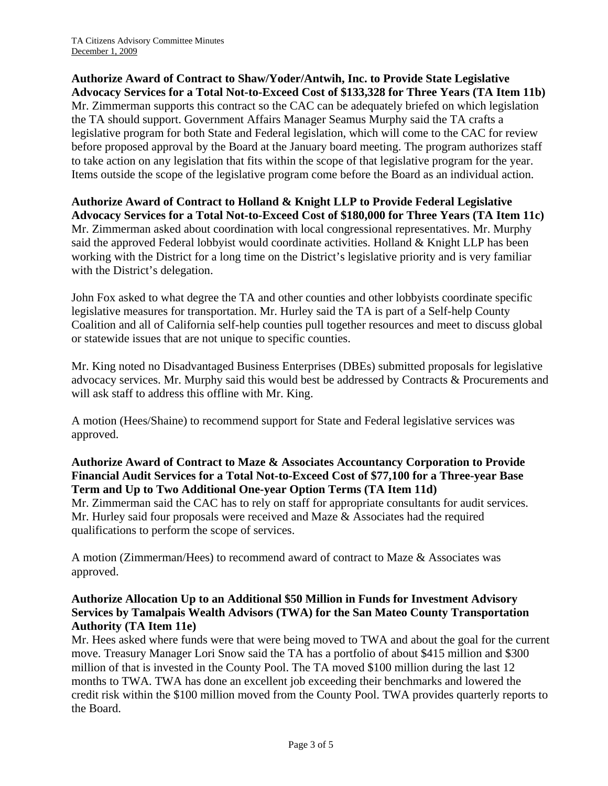**Authorize Award of Contract to Shaw/Yoder/Antwih, Inc. to Provide State Legislative Advocacy Services for a Total Not-to-Exceed Cost of \$133,328 for Three Years (TA Item 11b)**  Mr. Zimmerman supports this contract so the CAC can be adequately briefed on which legislation the TA should support. Government Affairs Manager Seamus Murphy said the TA crafts a legislative program for both State and Federal legislation, which will come to the CAC for review before proposed approval by the Board at the January board meeting. The program authorizes staff to take action on any legislation that fits within the scope of that legislative program for the year. Items outside the scope of the legislative program come before the Board as an individual action.

**Authorize Award of Contract to Holland & Knight LLP to Provide Federal Legislative Advocacy Services for a Total Not-to-Exceed Cost of \$180,000 for Three Years (TA Item 11c)**  Mr. Zimmerman asked about coordination with local congressional representatives. Mr. Murphy said the approved Federal lobbyist would coordinate activities. Holland & Knight LLP has been working with the District for a long time on the District's legislative priority and is very familiar with the District's delegation.

John Fox asked to what degree the TA and other counties and other lobbyists coordinate specific legislative measures for transportation. Mr. Hurley said the TA is part of a Self-help County Coalition and all of California self-help counties pull together resources and meet to discuss global or statewide issues that are not unique to specific counties.

Mr. King noted no Disadvantaged Business Enterprises (DBEs) submitted proposals for legislative advocacy services. Mr. Murphy said this would best be addressed by Contracts & Procurements and will ask staff to address this offline with Mr. King.

A motion (Hees/Shaine) to recommend support for State and Federal legislative services was approved.

#### **Authorize Award of Contract to Maze & Associates Accountancy Corporation to Provide Financial Audit Services for a Total Not-to-Exceed Cost of \$77,100 for a Three-year Base Term and Up to Two Additional One-year Option Terms (TA Item 11d)**

Mr. Zimmerman said the CAC has to rely on staff for appropriate consultants for audit services. Mr. Hurley said four proposals were received and Maze & Associates had the required qualifications to perform the scope of services.

A motion (Zimmerman/Hees) to recommend award of contract to Maze & Associates was approved.

### **Authorize Allocation Up to an Additional \$50 Million in Funds for Investment Advisory Services by Tamalpais Wealth Advisors (TWA) for the San Mateo County Transportation Authority (TA Item 11e)**

Mr. Hees asked where funds were that were being moved to TWA and about the goal for the current move. Treasury Manager Lori Snow said the TA has a portfolio of about \$415 million and \$300 million of that is invested in the County Pool. The TA moved \$100 million during the last 12 months to TWA. TWA has done an excellent job exceeding their benchmarks and lowered the credit risk within the \$100 million moved from the County Pool. TWA provides quarterly reports to the Board.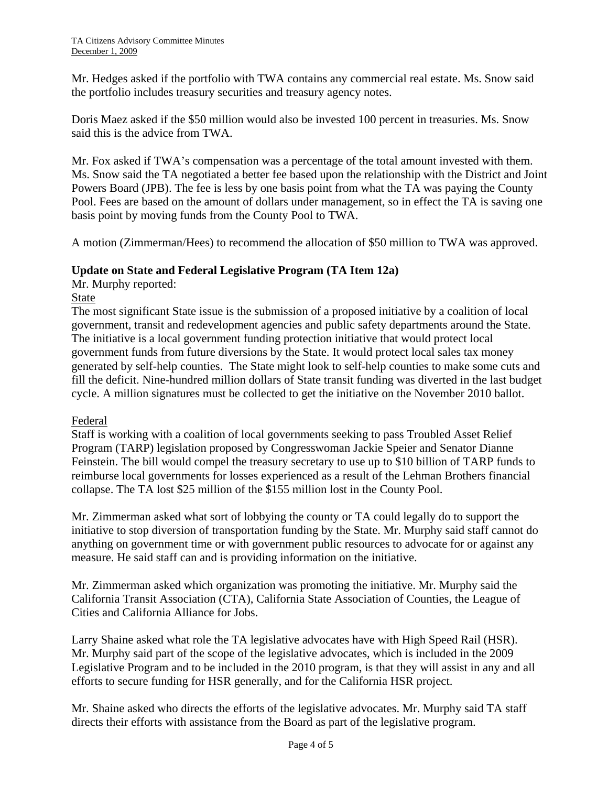Mr. Hedges asked if the portfolio with TWA contains any commercial real estate. Ms. Snow said the portfolio includes treasury securities and treasury agency notes.

Doris Maez asked if the \$50 million would also be invested 100 percent in treasuries. Ms. Snow said this is the advice from TWA.

Mr. Fox asked if TWA's compensation was a percentage of the total amount invested with them. Ms. Snow said the TA negotiated a better fee based upon the relationship with the District and Joint Powers Board (JPB). The fee is less by one basis point from what the TA was paying the County Pool. Fees are based on the amount of dollars under management, so in effect the TA is saving one basis point by moving funds from the County Pool to TWA.

A motion (Zimmerman/Hees) to recommend the allocation of \$50 million to TWA was approved.

#### **Update on State and Federal Legislative Program (TA Item 12a)**

Mr. Murphy reported:

#### State

The most significant State issue is the submission of a proposed initiative by a coalition of local government, transit and redevelopment agencies and public safety departments around the State. The initiative is a local government funding protection initiative that would protect local government funds from future diversions by the State. It would protect local sales tax money generated by self-help counties. The State might look to self-help counties to make some cuts and fill the deficit. Nine-hundred million dollars of State transit funding was diverted in the last budget cycle. A million signatures must be collected to get the initiative on the November 2010 ballot.

#### Federal

Staff is working with a coalition of local governments seeking to pass Troubled Asset Relief Program (TARP) legislation proposed by Congresswoman Jackie Speier and Senator Dianne Feinstein. The bill would compel the treasury secretary to use up to \$10 billion of TARP funds to reimburse local governments for losses experienced as a result of the Lehman Brothers financial collapse. The TA lost \$25 million of the \$155 million lost in the County Pool.

Mr. Zimmerman asked what sort of lobbying the county or TA could legally do to support the initiative to stop diversion of transportation funding by the State. Mr. Murphy said staff cannot do anything on government time or with government public resources to advocate for or against any measure. He said staff can and is providing information on the initiative.

Mr. Zimmerman asked which organization was promoting the initiative. Mr. Murphy said the California Transit Association (CTA), California State Association of Counties, the League of Cities and California Alliance for Jobs.

Larry Shaine asked what role the TA legislative advocates have with High Speed Rail (HSR). Mr. Murphy said part of the scope of the legislative advocates, which is included in the 2009 Legislative Program and to be included in the 2010 program, is that they will assist in any and all efforts to secure funding for HSR generally, and for the California HSR project.

Mr. Shaine asked who directs the efforts of the legislative advocates. Mr. Murphy said TA staff directs their efforts with assistance from the Board as part of the legislative program.